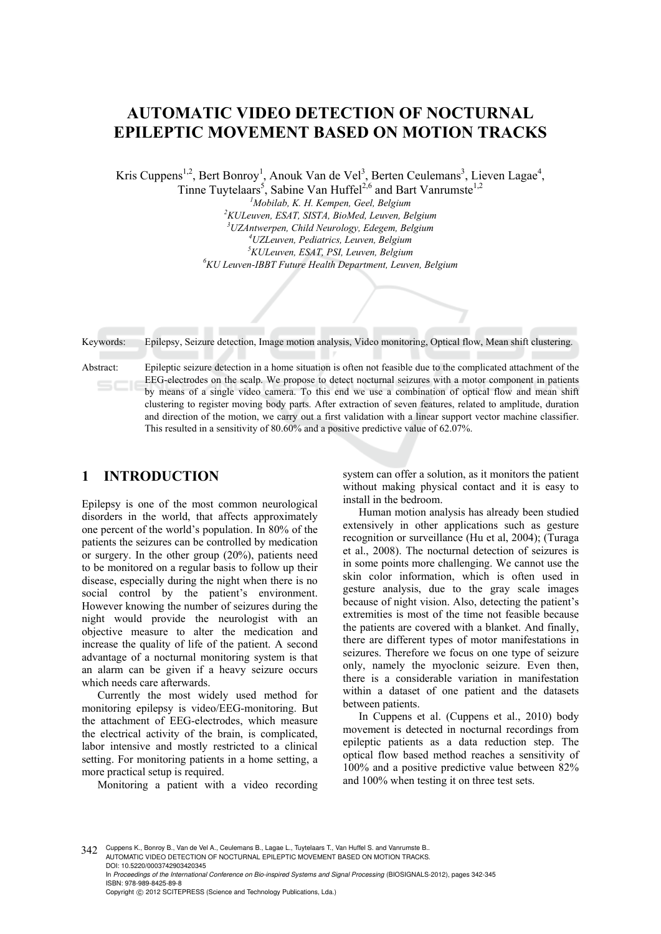# **AUTOMATIC VIDEO DETECTION OF NOCTURNAL EPILEPTIC MOVEMENT BASED ON MOTION TRACKS**

Kris Cuppens<sup>1,2</sup>, Bert Bonroy<sup>1</sup>, Anouk Van de Vel<sup>3</sup>, Berten Ceulemans<sup>3</sup>, Lieven Lagae<sup>4</sup>, Tinne Tuytelaars<sup>5</sup>, Sabine Van Huffel<sup>2,6</sup> and Bart Vanrumste<sup>1,2</sup>

> <sup>1</sup> Mobilab, K. H. Kempen, Geel, Belgium<br><sup>2</sup> KLII aman, ESAT, SISTA, BioMed, Laman, Be *KULeuven, ESAT, SISTA, BioMed, Leuven, Belgium 3 UZAntwerpen, Child Neurology, Edegem, Belgium 4 UZLeuven, Pediatrics, Leuven, Belgium 5 KULeuven, ESAT, PSI, Leuven, Belgium 6 KU Leuven-IBBT Future Health Department, Leuven, Belgium*

Keywords: Epilepsy, Seizure detection, Image motion analysis, Video monitoring, Optical flow, Mean shift clustering.

Abstract: Epileptic seizure detection in a home situation is often not feasible due to the complicated attachment of the EEG-electrodes on the scalp. We propose to detect nocturnal seizures with a motor component in patients by means of a single video camera. To this end we use a combination of optical flow and mean shift clustering to register moving body parts. After extraction of seven features, related to amplitude, duration and direction of the motion, we carry out a first validation with a linear support vector machine classifier. This resulted in a sensitivity of 80.60% and a positive predictive value of 62.07%.

## **1 INTRODUCTION**

Epilepsy is one of the most common neurological disorders in the world, that affects approximately one percent of the world's population. In 80% of the patients the seizures can be controlled by medication or surgery. In the other group (20%), patients need to be monitored on a regular basis to follow up their disease, especially during the night when there is no social control by the patient's environment. However knowing the number of seizures during the night would provide the neurologist with an objective measure to alter the medication and increase the quality of life of the patient. A second advantage of a nocturnal monitoring system is that an alarm can be given if a heavy seizure occurs which needs care afterwards.

Currently the most widely used method for monitoring epilepsy is video/EEG-monitoring. But the attachment of EEG-electrodes, which measure the electrical activity of the brain, is complicated, labor intensive and mostly restricted to a clinical setting. For monitoring patients in a home setting, a more practical setup is required.

Monitoring a patient with a video recording

system can offer a solution, as it monitors the patient without making physical contact and it is easy to install in the bedroom.

Human motion analysis has already been studied extensively in other applications such as gesture recognition or surveillance (Hu et al, 2004); (Turaga et al., 2008). The nocturnal detection of seizures is in some points more challenging. We cannot use the skin color information, which is often used in gesture analysis, due to the gray scale images because of night vision. Also, detecting the patient's extremities is most of the time not feasible because the patients are covered with a blanket. And finally, there are different types of motor manifestations in seizures. Therefore we focus on one type of seizure only, namely the myoclonic seizure. Even then, there is a considerable variation in manifestation within a dataset of one patient and the datasets between patients.

In Cuppens et al. (Cuppens et al., 2010) body movement is detected in nocturnal recordings from epileptic patients as a data reduction step. The optical flow based method reaches a sensitivity of 100% and a positive predictive value between 82% and 100% when testing it on three test sets.

342 Cuppens K., Bonroy B., Van de Vel A., Ceulemans B., Lagae L., Tuytelaars T., Van Huffel S. and Vanrumste B.. AUTOMATIC VIDEO DETECTION OF NOCTURNAL EPILEPTIC MOVEMENT BASED ON MOTION TRACKS. DOI: 10.5220/0003742903420345 In *Proceedings of the International Conference on Bio-inspired Systems and Signal Processing* (BIOSIGNALS-2012), pages 342-345 ISBN: 978-989-8425-89-8 Copyright © 2012 SCITEPRESS (Science and Technology Publications, Lda.)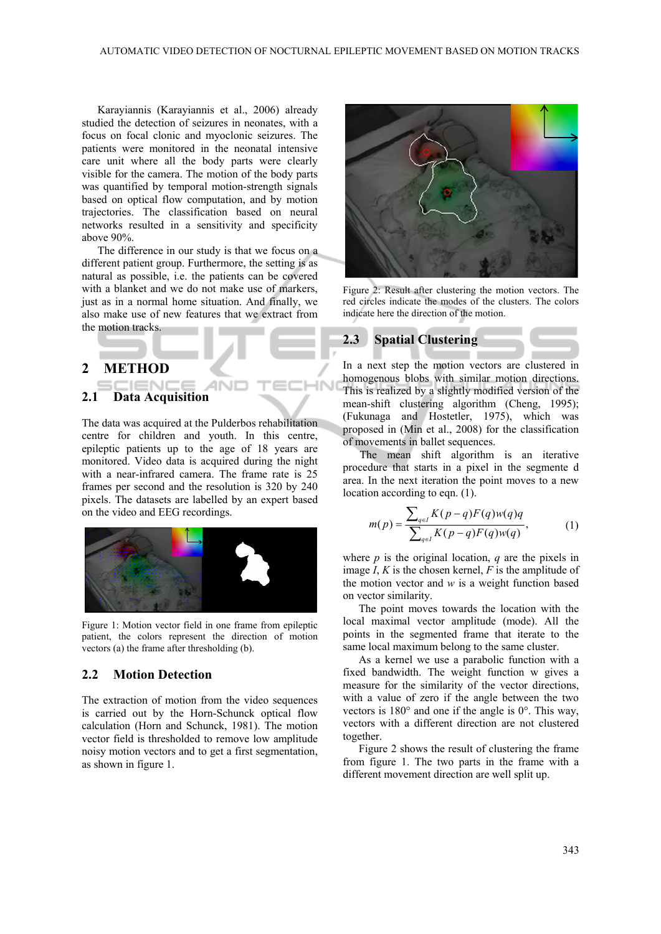-IN

Karayiannis (Karayiannis et al., 2006) already studied the detection of seizures in neonates, with a focus on focal clonic and myoclonic seizures. The patients were monitored in the neonatal intensive care unit where all the body parts were clearly visible for the camera. The motion of the body parts was quantified by temporal motion-strength signals based on optical flow computation, and by motion trajectories. The classification based on neural networks resulted in a sensitivity and specificity above 90%.

The difference in our study is that we focus on a different patient group. Furthermore, the setting is as natural as possible, i.e. the patients can be covered with a blanket and we do not make use of markers, just as in a normal home situation. And finally, we also make use of new features that we extract from the motion tracks.

#### **2 METHOD**

#### :IENC **2.1 Data Acquisition**

The data was acquired at the Pulderbos rehabilitation centre for children and youth. In this centre, epileptic patients up to the age of 18 years are monitored. Video data is acquired during the night with a near-infrared camera. The frame rate is 25 frames per second and the resolution is 320 by 240 pixels. The datasets are labelled by an expert based on the video and EEG recordings.



Figure 1: Motion vector field in one frame from epileptic patient, the colors represent the direction of motion vectors (a) the frame after thresholding (b).

### **2.2 Motion Detection**

The extraction of motion from the video sequences is carried out by the Horn-Schunck optical flow calculation (Horn and Schunck, 1981). The motion vector field is thresholded to remove low amplitude noisy motion vectors and to get a first segmentation, as shown in figure 1.



Figure 2: Result after clustering the motion vectors. The red circles indicate the modes of the clusters. The colors indicate here the direction of the motion.

## **2.3 Spatial Clustering**

In a next step the motion vectors are clustered in homogenous blobs with similar motion directions. This is realized by a slightly modified version of the mean-shift clustering algorithm (Cheng, 1995); (Fukunaga and Hostetler, 1975), which was proposed in (Min et al., 2008) for the classification of movements in ballet sequences.

The mean shift algorithm is an iterative procedure that starts in a pixel in the segmente d area. In the next iteration the point moves to a new location according to eqn. (1).

$$
m(p) = \frac{\sum_{q \in I} K(p-q)F(q)w(q)q}{\sum_{q \in I} K(p-q)F(q)w(q)},
$$
 (1)

where  $p$  is the original location,  $q$  are the pixels in image *I*, *K* is the chosen kernel, *F* is the amplitude of the motion vector and *w* is a weight function based on vector similarity.

The point moves towards the location with the local maximal vector amplitude (mode). All the points in the segmented frame that iterate to the same local maximum belong to the same cluster.

As a kernel we use a parabolic function with a fixed bandwidth. The weight function w gives a measure for the similarity of the vector directions, with a value of zero if the angle between the two vectors is 180° and one if the angle is 0°. This way, vectors with a different direction are not clustered together.

Figure 2 shows the result of clustering the frame from figure 1. The two parts in the frame with a different movement direction are well split up.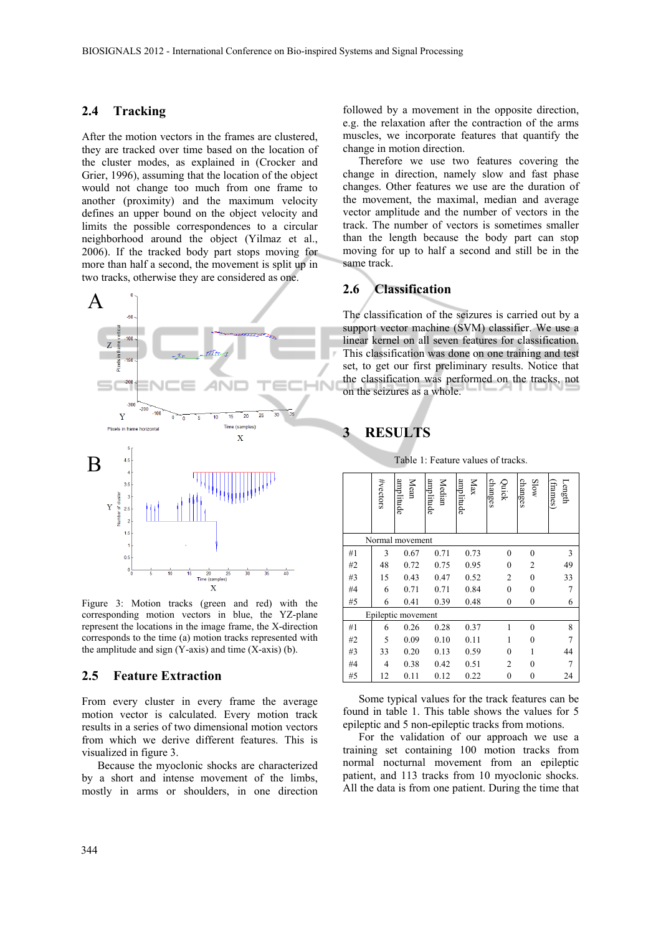#### **2.4 Tracking**

After the motion vectors in the frames are clustered, they are tracked over time based on the location of the cluster modes, as explained in (Crocker and Grier, 1996), assuming that the location of the object would not change too much from one frame to another (proximity) and the maximum velocity defines an upper bound on the object velocity and limits the possible correspondences to a circular neighborhood around the object (Yilmaz et al., 2006). If the tracked body part stops moving for more than half a second, the movement is split up in two tracks, otherwise they are considered as one.



Figure 3: Motion tracks (green and red) with the corresponding motion vectors in blue, the YZ-plane represent the locations in the image frame, the X-direction corresponds to the time (a) motion tracks represented with the amplitude and sign  $(Y-axis)$  and time  $(X-axis)$  (b).

#### **2.5 Feature Extraction**

From every cluster in every frame the average motion vector is calculated. Every motion track results in a series of two dimensional motion vectors from which we derive different features. This is visualized in figure 3.

Because the myoclonic shocks are characterized by a short and intense movement of the limbs, mostly in arms or shoulders, in one direction

followed by a movement in the opposite direction, e.g. the relaxation after the contraction of the arms muscles, we incorporate features that quantify the change in motion direction.

Therefore we use two features covering the change in direction, namely slow and fast phase changes. Other features we use are the duration of the movement, the maximal, median and average vector amplitude and the number of vectors in the track. The number of vectors is sometimes smaller than the length because the body part can stop moving for up to half a second and still be in the same track.

#### **2.6 Classification**

The classification of the seizures is carried out by a support vector machine (SVM) classifier. We use a linear kernel on all seven features for classification. This classification was done on one training and test set, to get our first preliminary results. Notice that the classification was performed on the tracks, not on the seizures as a whole.

## **3 RESULTS**

 $\mathbf{a}$  $\geq$  $\overline{a}$  $\geq$ 

 $#$ 

|                    | #vectors | amplitude<br>Mean | amplitude<br>Median | amplitude<br>Max | changes<br>Quick | changes<br>Slow | Length<br>(frames) |
|--------------------|----------|-------------------|---------------------|------------------|------------------|-----------------|--------------------|
| Normal movement    |          |                   |                     |                  |                  |                 |                    |
| #1                 | 3        | 0.67              | 0.71                | 0.73             | $\overline{0}$   | $\theta$        | 3                  |
| #2                 | 48       | 0.72              | 0.75                | 0.95             | $\overline{0}$   | 2               | 49                 |
| #3                 | 15       | 0.43              | 0.47                | 0.52             | 2                | $\theta$        | 33                 |
| #4                 | 6        | 0.71              | 0.71                | 0.84             | $\mathbf{0}$     | $\theta$        | 7                  |
| #5                 | 6        | 0.41              | 0.39                | 0.48             | $\boldsymbol{0}$ | 0               | 6                  |
| Epileptic movement |          |                   |                     |                  |                  |                 |                    |
| #1                 | 6        | 0.26              | 0.28                | 0.37             |                  | $\theta$        | 8                  |
| #2                 | 5        | 0.09              | 0.10                | 0.11             | 1                | $\theta$        |                    |
| #3                 | 33       | 0.20              | 0.13                | 0.59             | $\theta$         |                 | 44                 |
| #4                 | 4        | 0.38              | 0.42                | 0.51             | $\overline{c}$   | $\theta$        |                    |
| #5                 | 12       | 0.11              | 0.12                | 0.22             | 0                | $\mathbf{0}$    | 24                 |

Table 1: Feature values of tracks.  $\frac{a}{2}$ 

 $\geq$ 

Some typical values for the track features can be found in table 1. This table shows the values for 5 epileptic and 5 non-epileptic tracks from motions.

For the validation of our approach we use a training set containing 100 motion tracks from normal nocturnal movement from an epileptic patient, and 113 tracks from 10 myoclonic shocks. All the data is from one patient. During the time that